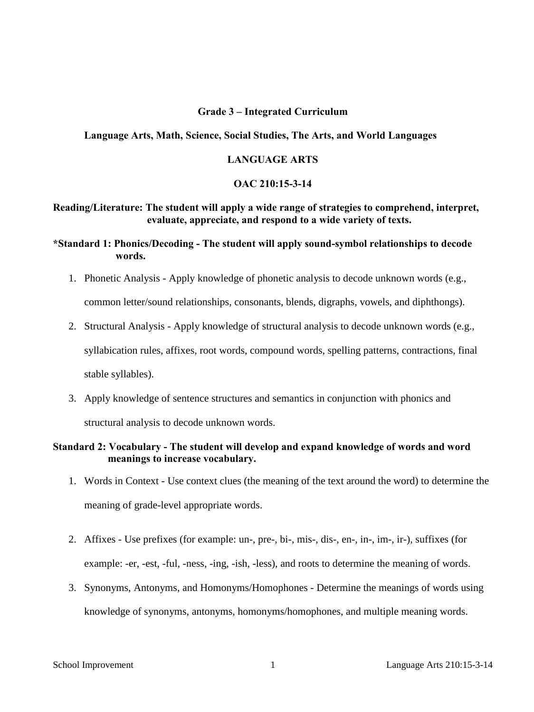## **Grade 3 – Integrated Curriculum**

## **Language Arts, Math, Science, Social Studies, The Arts, and World Languages**

## **LANGUAGE ARTS**

## **OAC 210:15-3-14**

## **Reading/Literature: The student will apply a wide range of strategies to comprehend, interpret, evaluate, appreciate, and respond to a wide variety of texts.**

# **\*Standard 1: Phonics/Decoding - The student will apply sound-symbol relationships to decode words.**

- 1. Phonetic Analysis Apply knowledge of phonetic analysis to decode unknown words (e.g., common letter/sound relationships, consonants, blends, digraphs, vowels, and diphthongs).
- 2. Structural Analysis Apply knowledge of structural analysis to decode unknown words (e.g., syllabication rules, affixes, root words, compound words, spelling patterns, contractions, final stable syllables).
- 3. Apply knowledge of sentence structures and semantics in conjunction with phonics and structural analysis to decode unknown words.

# **Standard 2: Vocabulary - The student will develop and expand knowledge of words and word meanings to increase vocabulary.**

- 1. Words in Context Use context clues (the meaning of the text around the word) to determine the meaning of grade-level appropriate words.
- 2. Affixes Use prefixes (for example: un-, pre-, bi-, mis-, dis-, en-, in-, im-, ir-), suffixes (for example: -er, -est, -ful, -ness, -ing, -ish, -less), and roots to determine the meaning of words.
- 3. Synonyms, Antonyms, and Homonyms/Homophones Determine the meanings of words using knowledge of synonyms, antonyms, homonyms/homophones, and multiple meaning words.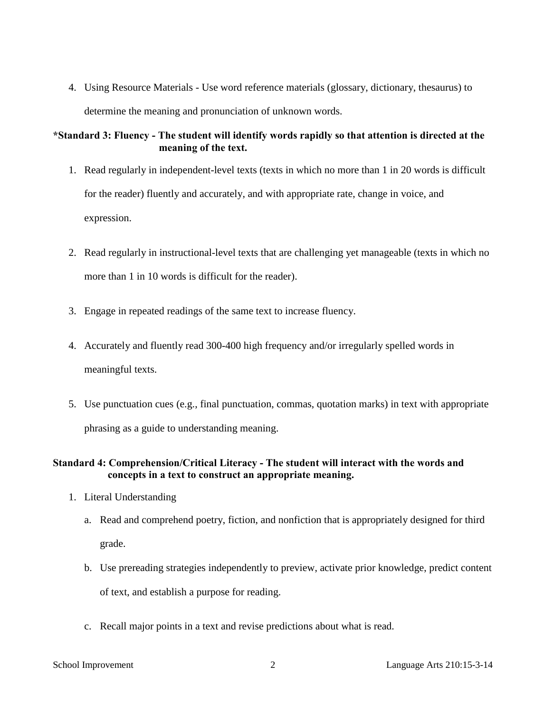4. Using Resource Materials - Use word reference materials (glossary, dictionary, thesaurus) to determine the meaning and pronunciation of unknown words.

# **\*Standard 3: Fluency - The student will identify words rapidly so that attention is directed at the meaning of the text.**

- 1. Read regularly in independent-level texts (texts in which no more than 1 in 20 words is difficult for the reader) fluently and accurately, and with appropriate rate, change in voice, and expression.
- 2. Read regularly in instructional-level texts that are challenging yet manageable (texts in which no more than 1 in 10 words is difficult for the reader).
- 3. Engage in repeated readings of the same text to increase fluency.
- 4. Accurately and fluently read 300-400 high frequency and/or irregularly spelled words in meaningful texts.
- 5. Use punctuation cues (e.g., final punctuation, commas, quotation marks) in text with appropriate phrasing as a guide to understanding meaning.

# **Standard 4: Comprehension/Critical Literacy - The student will interact with the words and concepts in a text to construct an appropriate meaning.**

- 1. Literal Understanding
	- a. Read and comprehend poetry, fiction, and nonfiction that is appropriately designed for third grade.
	- b. Use prereading strategies independently to preview, activate prior knowledge, predict content of text, and establish a purpose for reading.
	- c. Recall major points in a text and revise predictions about what is read.
-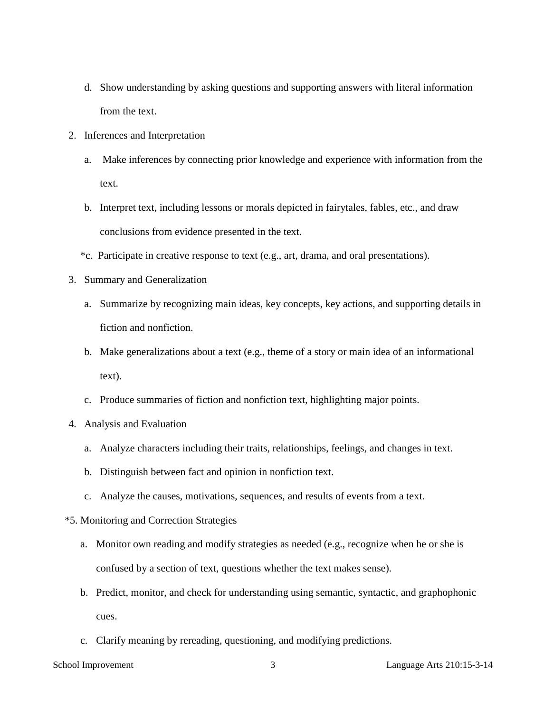- d. Show understanding by asking questions and supporting answers with literal information from the text.
- 2. Inferences and Interpretation
	- a. Make inferences by connecting prior knowledge and experience with information from the text.
	- b. Interpret text, including lessons or morals depicted in fairytales, fables, etc., and draw conclusions from evidence presented in the text.
	- \*c. Participate in creative response to text (e.g., art, drama, and oral presentations).
- 3. Summary and Generalization
	- a. Summarize by recognizing main ideas, key concepts, key actions, and supporting details in fiction and nonfiction.
	- b. Make generalizations about a text (e.g., theme of a story or main idea of an informational text).
	- c. Produce summaries of fiction and nonfiction text, highlighting major points.
- 4. Analysis and Evaluation
	- a. Analyze characters including their traits, relationships, feelings, and changes in text.
	- b. Distinguish between fact and opinion in nonfiction text.
	- c. Analyze the causes, motivations, sequences, and results of events from a text.
- \*5. Monitoring and Correction Strategies
	- a. Monitor own reading and modify strategies as needed (e.g., recognize when he or she is confused by a section of text, questions whether the text makes sense).
	- b. Predict, monitor, and check for understanding using semantic, syntactic, and graphophonic cues.
	- c. Clarify meaning by rereading, questioning, and modifying predictions.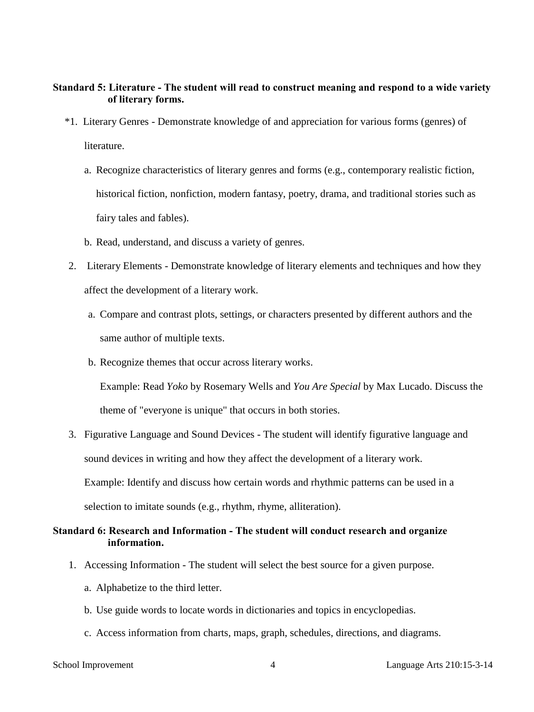## **Standard 5: Literature - The student will read to construct meaning and respond to a wide variety of literary forms.**

- \*1. Literary Genres Demonstrate knowledge of and appreciation for various forms (genres) of literature.
	- a. Recognize characteristics of literary genres and forms (e.g., contemporary realistic fiction, historical fiction, nonfiction, modern fantasy, poetry, drama, and traditional stories such as fairy tales and fables).
	- b. Read, understand, and discuss a variety of genres.
- 2. Literary Elements Demonstrate knowledge of literary elements and techniques and how they affect the development of a literary work.
	- a. Compare and contrast plots, settings, or characters presented by different authors and the same author of multiple texts.
	- b. Recognize themes that occur across literary works.

Example: Read *Yoko* by Rosemary Wells and *You Are Special* by Max Lucado. Discuss the theme of "everyone is unique" that occurs in both stories.

3. Figurative Language and Sound Devices - The student will identify figurative language and sound devices in writing and how they affect the development of a literary work. Example: Identify and discuss how certain words and rhythmic patterns can be used in a selection to imitate sounds (e.g., rhythm, rhyme, alliteration).

## **Standard 6: Research and Information - The student will conduct research and organize information.**

- 1. Accessing Information The student will select the best source for a given purpose.
	- a. Alphabetize to the third letter.
	- b. Use guide words to locate words in dictionaries and topics in encyclopedias.
	- c. Access information from charts, maps, graph, schedules, directions, and diagrams.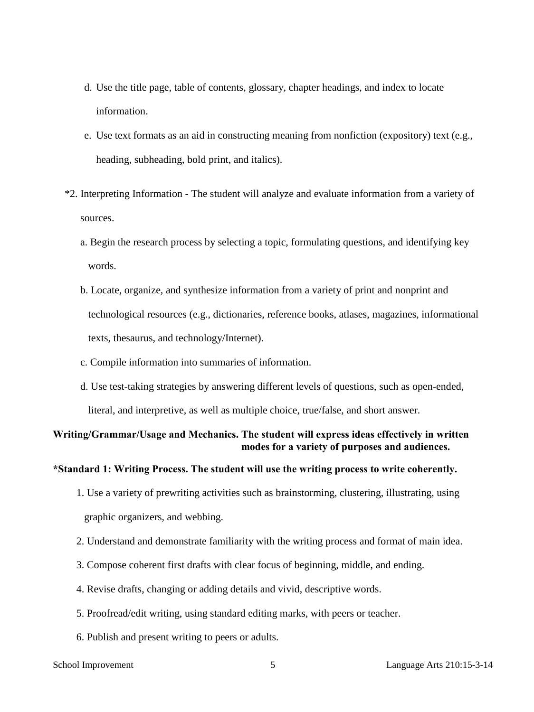- d. Use the title page, table of contents, glossary, chapter headings, and index to locate information.
- e. Use text formats as an aid in constructing meaning from nonfiction (expository) text (e.g., heading, subheading, bold print, and italics).
- \*2. Interpreting Information The student will analyze and evaluate information from a variety of sources.
	- a. Begin the research process by selecting a topic, formulating questions, and identifying key words.
	- b. Locate, organize, and synthesize information from a variety of print and nonprint and technological resources (e.g., dictionaries, reference books, atlases, magazines, informational texts, thesaurus, and technology/Internet).
	- c. Compile information into summaries of information.
	- d. Use test-taking strategies by answering different levels of questions, such as open-ended,

literal, and interpretive, as well as multiple choice, true/false, and short answer.

# **Writing/Grammar/Usage and Mechanics. The student will express ideas effectively in written modes for a variety of purposes and audiences.**

#### **\*Standard 1: Writing Process. The student will use the writing process to write coherently.**

- 1. Use a variety of prewriting activities such as brainstorming, clustering, illustrating, using graphic organizers, and webbing.
- 2. Understand and demonstrate familiarity with the writing process and format of main idea.
- 3. Compose coherent first drafts with clear focus of beginning, middle, and ending.
- 4. Revise drafts, changing or adding details and vivid, descriptive words.
- 5. Proofread/edit writing, using standard editing marks, with peers or teacher.
- 6. Publish and present writing to peers or adults.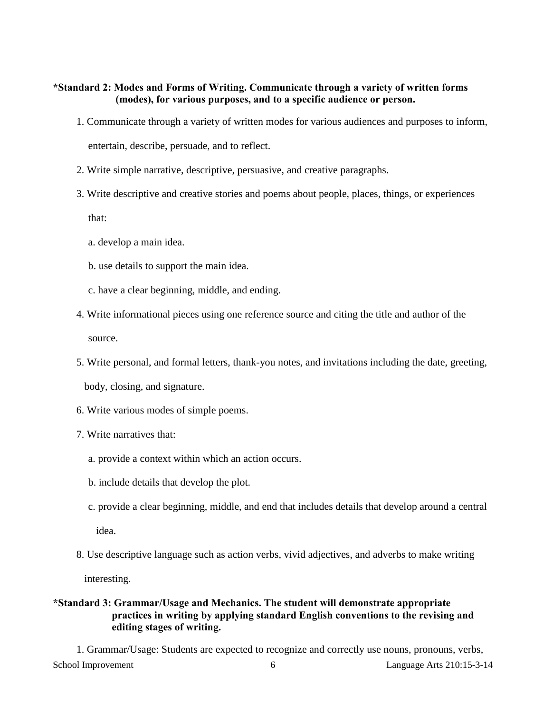# **\*Standard 2: Modes and Forms of Writing. Communicate through a variety of written forms (modes), for various purposes, and to a specific audience or person.**

- 1. Communicate through a variety of written modes for various audiences and purposes to inform, entertain, describe, persuade, and to reflect.
- 2. Write simple narrative, descriptive, persuasive, and creative paragraphs.
- 3. Write descriptive and creative stories and poems about people, places, things, or experiences

that:

- a. develop a main idea.
- b. use details to support the main idea.
- c. have a clear beginning, middle, and ending.
- 4. Write informational pieces using one reference source and citing the title and author of the source.
- 5. Write personal, and formal letters, thank-you notes, and invitations including the date, greeting,

body, closing, and signature.

- 6. Write various modes of simple poems.
- 7. Write narratives that:
	- a. provide a context within which an action occurs.
	- b. include details that develop the plot.
	- c. provide a clear beginning, middle, and end that includes details that develop around a central idea.
- 8. Use descriptive language such as action verbs, vivid adjectives, and adverbs to make writing

interesting.

## **\*Standard 3: Grammar/Usage and Mechanics. The student will demonstrate appropriate practices in writing by applying standard English conventions to the revising and editing stages of writing.**

School Improvement 6 Language Arts 210:15-3-14 1. Grammar/Usage: Students are expected to recognize and correctly use nouns, pronouns, verbs,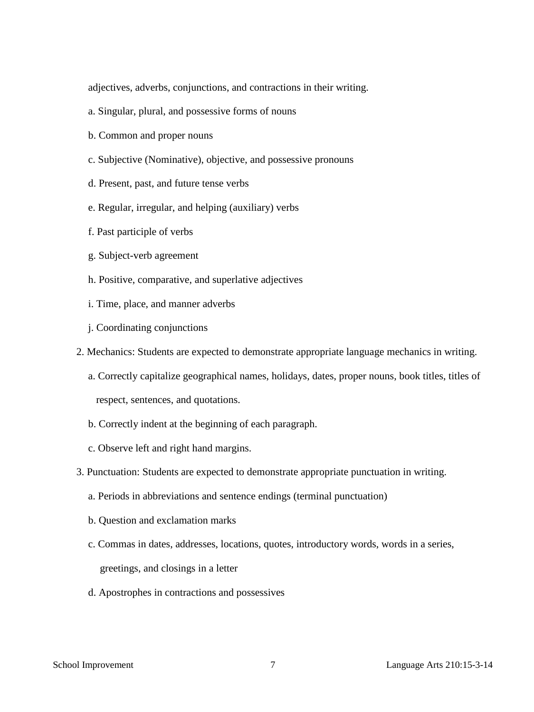adjectives, adverbs, conjunctions, and contractions in their writing.

- a. Singular, plural, and possessive forms of nouns
- b. Common and proper nouns
- c. Subjective (Nominative), objective, and possessive pronouns
- d. Present, past, and future tense verbs
- e. Regular, irregular, and helping (auxiliary) verbs
- f. Past participle of verbs
- g. Subject-verb agreement
- h. Positive, comparative, and superlative adjectives
- i. Time, place, and manner adverbs
- j. Coordinating conjunctions
- 2. Mechanics: Students are expected to demonstrate appropriate language mechanics in writing.
	- a. Correctly capitalize geographical names, holidays, dates, proper nouns, book titles, titles of respect, sentences, and quotations.
	- b. Correctly indent at the beginning of each paragraph.
	- c. Observe left and right hand margins.
- 3. Punctuation: Students are expected to demonstrate appropriate punctuation in writing.
	- a. Periods in abbreviations and sentence endings (terminal punctuation)
	- b. Question and exclamation marks
	- c. Commas in dates, addresses, locations, quotes, introductory words, words in a series, greetings, and closings in a letter
	- d. Apostrophes in contractions and possessives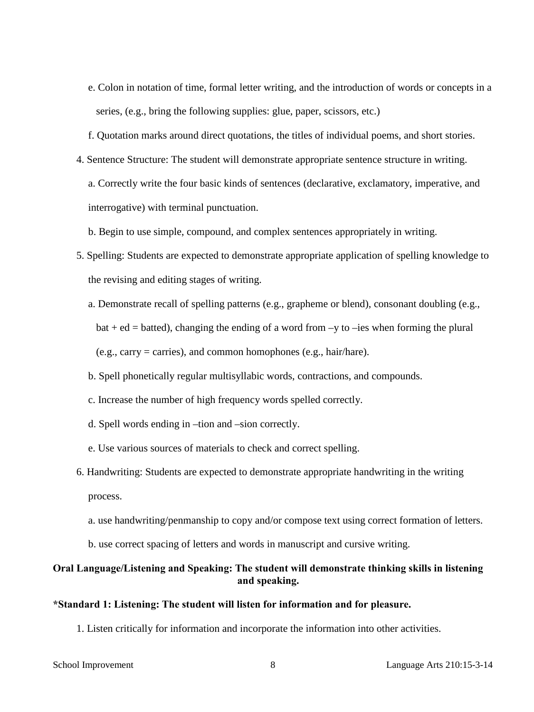- e. Colon in notation of time, formal letter writing, and the introduction of words or concepts in a series, (e.g., bring the following supplies: glue, paper, scissors, etc.)
- f. Quotation marks around direct quotations, the titles of individual poems, and short stories.
- 4. Sentence Structure: The student will demonstrate appropriate sentence structure in writing.
	- a. Correctly write the four basic kinds of sentences (declarative, exclamatory, imperative, and interrogative) with terminal punctuation.
	- b. Begin to use simple, compound, and complex sentences appropriately in writing.
- 5. Spelling: Students are expected to demonstrate appropriate application of spelling knowledge to the revising and editing stages of writing.
	- a. Demonstrate recall of spelling patterns (e.g., grapheme or blend), consonant doubling (e.g., bat + ed = batted), changing the ending of a word from  $-y$  to  $-i$ es when forming the plural (e.g., carry = carries), and common homophones (e.g., hair/hare).
	- b. Spell phonetically regular multisyllabic words, contractions, and compounds.
	- c. Increase the number of high frequency words spelled correctly.
	- d. Spell words ending in –tion and –sion correctly.
	- e. Use various sources of materials to check and correct spelling.
- 6. Handwriting: Students are expected to demonstrate appropriate handwriting in the writing process.
	- a. use handwriting/penmanship to copy and/or compose text using correct formation of letters.
	- b. use correct spacing of letters and words in manuscript and cursive writing.

# **Oral Language/Listening and Speaking: The student will demonstrate thinking skills in listening and speaking.**

#### **\*Standard 1: Listening: The student will listen for information and for pleasure.**

1. Listen critically for information and incorporate the information into other activities.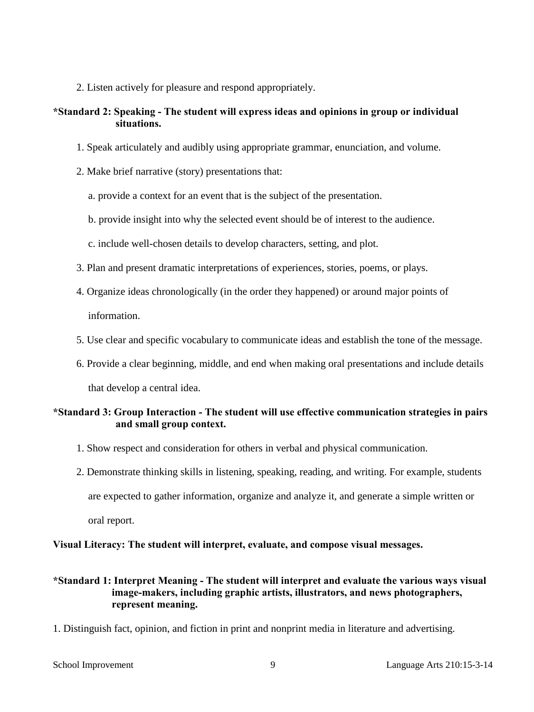2. Listen actively for pleasure and respond appropriately.

# **\*Standard 2: Speaking - The student will express ideas and opinions in group or individual situations.**

- 1. Speak articulately and audibly using appropriate grammar, enunciation, and volume.
- 2. Make brief narrative (story) presentations that:
	- a. provide a context for an event that is the subject of the presentation.
	- b. provide insight into why the selected event should be of interest to the audience.
	- c. include well-chosen details to develop characters, setting, and plot.
- 3. Plan and present dramatic interpretations of experiences, stories, poems, or plays.
- 4. Organize ideas chronologically (in the order they happened) or around major points of information.
- 5. Use clear and specific vocabulary to communicate ideas and establish the tone of the message.
- 6. Provide a clear beginning, middle, and end when making oral presentations and include details

that develop a central idea.

# **\*Standard 3: Group Interaction - The student will use effective communication strategies in pairs and small group context.**

- 1. Show respect and consideration for others in verbal and physical communication.
- 2. Demonstrate thinking skills in listening, speaking, reading, and writing. For example, students are expected to gather information, organize and analyze it, and generate a simple written or oral report.

**Visual Literacy: The student will interpret, evaluate, and compose visual messages.**

# **\*Standard 1: Interpret Meaning - The student will interpret and evaluate the various ways visual image-makers, including graphic artists, illustrators, and news photographers, represent meaning.**

1. Distinguish fact, opinion, and fiction in print and nonprint media in literature and advertising.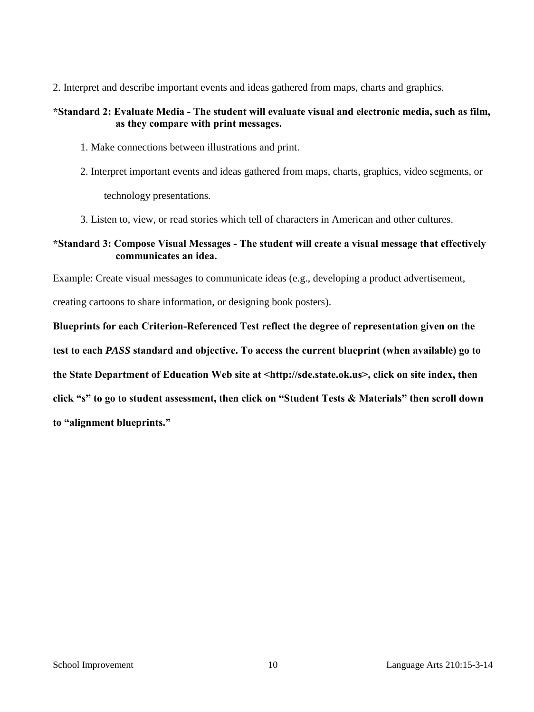2. Interpret and describe important events and ideas gathered from maps, charts and graphics.

# **\*Standard 2: Evaluate Media - The student will evaluate visual and electronic media, such as film, as they compare with print messages.**

- 1. Make connections between illustrations and print.
- 2. Interpret important events and ideas gathered from maps, charts, graphics, video segments, or technology presentations.
- 3. Listen to, view, or read stories which tell of characters in American and other cultures.

# **\*Standard 3: Compose Visual Messages - The student will create a visual message that effectively communicates an idea.**

Example: Create visual messages to communicate ideas (e.g., developing a product advertisement,

creating cartoons to share information, or designing book posters).

**Blueprints for each Criterion-Referenced Test reflect the degree of representation given on the** 

**test to each** *PASS* **standard and objective. To access the current blueprint (when available) go to** 

**the State Department of Education Web site at <http://sde.state.ok.us>, click on site index, then** 

**click "s" to go to student assessment, then click on "Student Tests & Materials" then scroll down** 

**to "alignment blueprints."**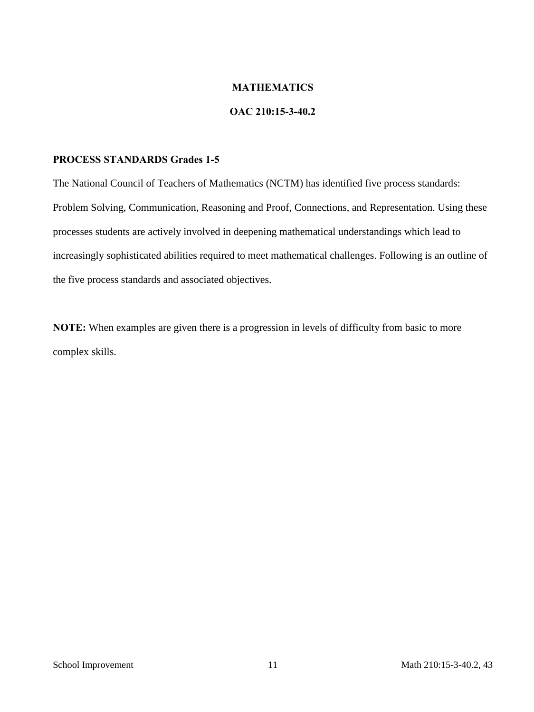## **MATHEMATICS**

## **OAC 210:15-3-40.2**

#### **PROCESS STANDARDS Grades 1-5**

The National Council of Teachers of Mathematics (NCTM) has identified five process standards: Problem Solving, Communication, Reasoning and Proof, Connections, and Representation. Using these processes students are actively involved in deepening mathematical understandings which lead to increasingly sophisticated abilities required to meet mathematical challenges. Following is an outline of the five process standards and associated objectives.

**NOTE:** When examples are given there is a progression in levels of difficulty from basic to more complex skills.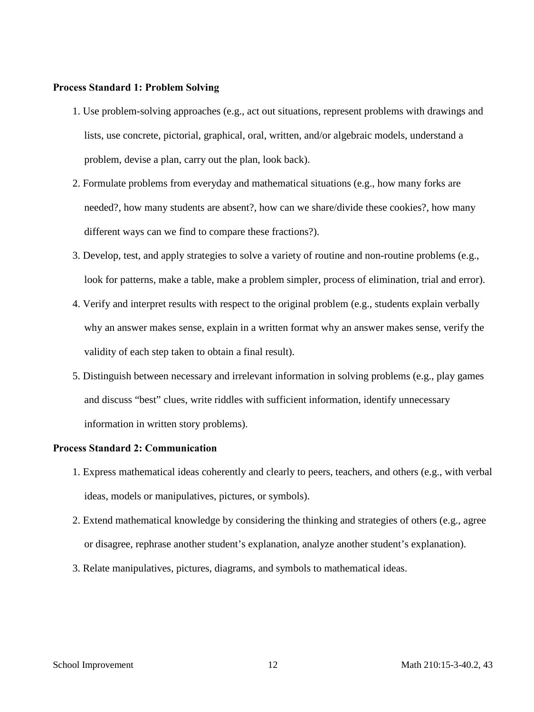#### **Process Standard 1: Problem Solving**

- 1. Use problem-solving approaches (e.g., act out situations, represent problems with drawings and lists, use concrete, pictorial, graphical, oral, written, and/or algebraic models, understand a problem, devise a plan, carry out the plan, look back).
- 2. Formulate problems from everyday and mathematical situations (e.g., how many forks are needed?, how many students are absent?, how can we share/divide these cookies?, how many different ways can we find to compare these fractions?).
- 3. Develop, test, and apply strategies to solve a variety of routine and non-routine problems (e.g., look for patterns, make a table, make a problem simpler, process of elimination, trial and error).
- 4. Verify and interpret results with respect to the original problem (e.g., students explain verbally why an answer makes sense, explain in a written format why an answer makes sense, verify the validity of each step taken to obtain a final result).
- 5. Distinguish between necessary and irrelevant information in solving problems (e.g., play games and discuss "best" clues, write riddles with sufficient information, identify unnecessary information in written story problems).

#### **Process Standard 2: Communication**

- 1. Express mathematical ideas coherently and clearly to peers, teachers, and others (e.g., with verbal ideas, models or manipulatives, pictures, or symbols).
- 2. Extend mathematical knowledge by considering the thinking and strategies of others (e.g., agree or disagree, rephrase another student's explanation, analyze another student's explanation).
- 3. Relate manipulatives, pictures, diagrams, and symbols to mathematical ideas.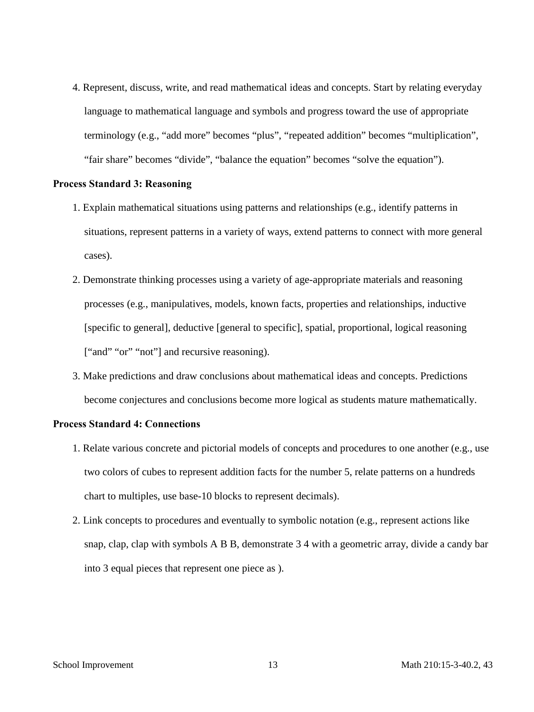4. Represent, discuss, write, and read mathematical ideas and concepts. Start by relating everyday language to mathematical language and symbols and progress toward the use of appropriate terminology (e.g., "add more" becomes "plus", "repeated addition" becomes "multiplication", "fair share" becomes "divide", "balance the equation" becomes "solve the equation").

#### **Process Standard 3: Reasoning**

- 1. Explain mathematical situations using patterns and relationships (e.g., identify patterns in situations, represent patterns in a variety of ways, extend patterns to connect with more general cases).
- 2. Demonstrate thinking processes using a variety of age-appropriate materials and reasoning processes (e.g., manipulatives, models, known facts, properties and relationships, inductive [specific to general], deductive [general to specific], spatial, proportional, logical reasoning ["and" "or" "not"] and recursive reasoning).
- 3. Make predictions and draw conclusions about mathematical ideas and concepts. Predictions become conjectures and conclusions become more logical as students mature mathematically.

## **Process Standard 4: Connections**

- 1. Relate various concrete and pictorial models of concepts and procedures to one another (e.g., use two colors of cubes to represent addition facts for the number 5, relate patterns on a hundreds chart to multiples, use base-10 blocks to represent decimals).
- 2. Link concepts to procedures and eventually to symbolic notation (e.g., represent actions like snap, clap, clap with symbols A B B, demonstrate 3 4 with a geometric array, divide a candy bar into 3 equal pieces that represent one piece as ).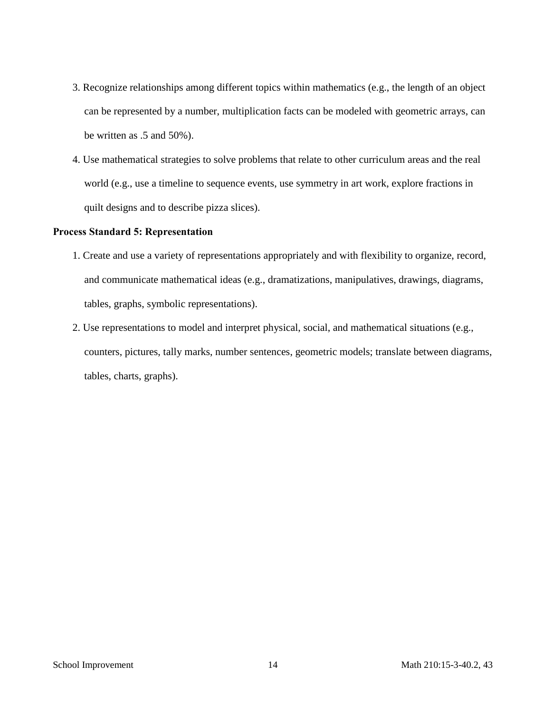- 3. Recognize relationships among different topics within mathematics (e.g., the length of an object can be represented by a number, multiplication facts can be modeled with geometric arrays, can be written as .5 and 50%).
- 4. Use mathematical strategies to solve problems that relate to other curriculum areas and the real world (e.g., use a timeline to sequence events, use symmetry in art work, explore fractions in quilt designs and to describe pizza slices).

## **Process Standard 5: Representation**

- 1. Create and use a variety of representations appropriately and with flexibility to organize, record, and communicate mathematical ideas (e.g., dramatizations, manipulatives, drawings, diagrams, tables, graphs, symbolic representations).
- 2. Use representations to model and interpret physical, social, and mathematical situations (e.g., counters, pictures, tally marks, number sentences, geometric models; translate between diagrams, tables, charts, graphs).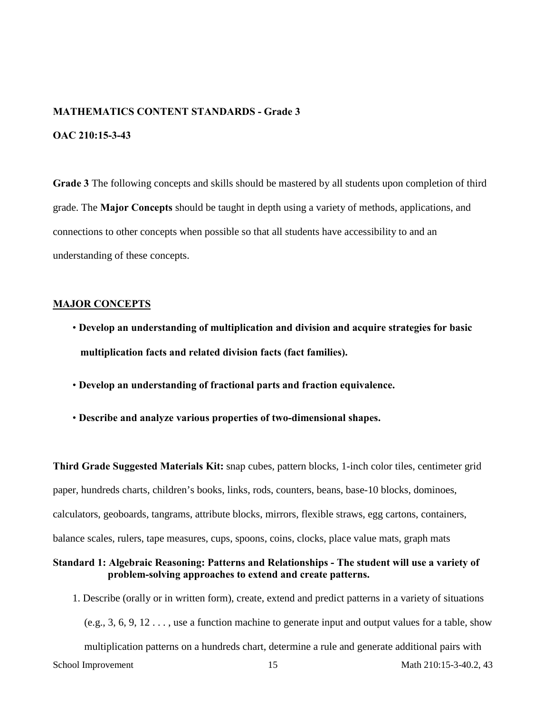#### **MATHEMATICS CONTENT STANDARDS - Grade 3**

## **OAC 210:15-3-43**

**Grade 3** The following concepts and skills should be mastered by all students upon completion of third grade. The **Major Concepts** should be taught in depth using a variety of methods, applications, and connections to other concepts when possible so that all students have accessibility to and an understanding of these concepts.

#### **MAJOR CONCEPTS**

- **Develop an understanding of multiplication and division and acquire strategies for basic multiplication facts and related division facts (fact families).**
- **Develop an understanding of fractional parts and fraction equivalence.**
- **Describe and analyze various properties of two-dimensional shapes.**

**Third Grade Suggested Materials Kit:** snap cubes, pattern blocks, 1-inch color tiles, centimeter grid paper, hundreds charts, children's books, links, rods, counters, beans, base-10 blocks, dominoes, calculators, geoboards, tangrams, attribute blocks, mirrors, flexible straws, egg cartons, containers, balance scales, rulers, tape measures, cups, spoons, coins, clocks, place value mats, graph mats

## **Standard 1: Algebraic Reasoning: Patterns and Relationships - The student will use a variety of problem-solving approaches to extend and create patterns.**

1. Describe (orally or in written form), create, extend and predict patterns in a variety of situations (e.g., 3, 6, 9, 12  $\dots$ , use a function machine to generate input and output values for a table, show multiplication patterns on a hundreds chart, determine a rule and generate additional pairs with

School Improvement 15 15 Math 210:15-3-40.2, 43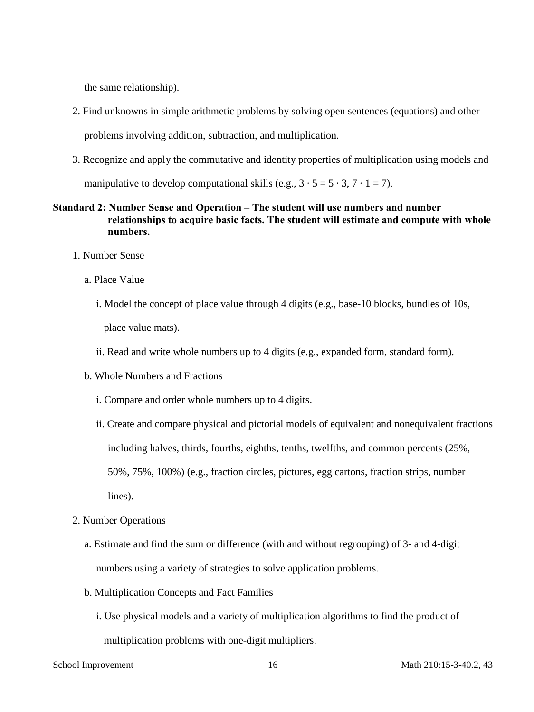the same relationship).

- 2. Find unknowns in simple arithmetic problems by solving open sentences (equations) and other problems involving addition, subtraction, and multiplication.
- 3. Recognize and apply the commutative and identity properties of multiplication using models and

manipulative to develop computational skills (e.g.,  $3 \cdot 5 = 5 \cdot 3$ ,  $7 \cdot 1 = 7$ ).

# **Standard 2: Number Sense and Operation – The student will use numbers and number relationships to acquire basic facts. The student will estimate and compute with whole numbers.**

- 1. Number Sense
	- a. Place Value
		- i. Model the concept of place value through 4 digits (e.g., base-10 blocks, bundles of 10s, place value mats).
		- ii. Read and write whole numbers up to 4 digits (e.g., expanded form, standard form).
	- b. Whole Numbers and Fractions
		- i. Compare and order whole numbers up to 4 digits.
		- ii. Create and compare physical and pictorial models of equivalent and nonequivalent fractions including halves, thirds, fourths, eighths, tenths, twelfths, and common percents (25%, 50%, 75%, 100%) (e.g., fraction circles, pictures, egg cartons, fraction strips, number lines).
- 2. Number Operations
	- a. Estimate and find the sum or difference (with and without regrouping) of 3- and 4-digit numbers using a variety of strategies to solve application problems.
	- b. Multiplication Concepts and Fact Families
		- i. Use physical models and a variety of multiplication algorithms to find the product of multiplication problems with one-digit multipliers.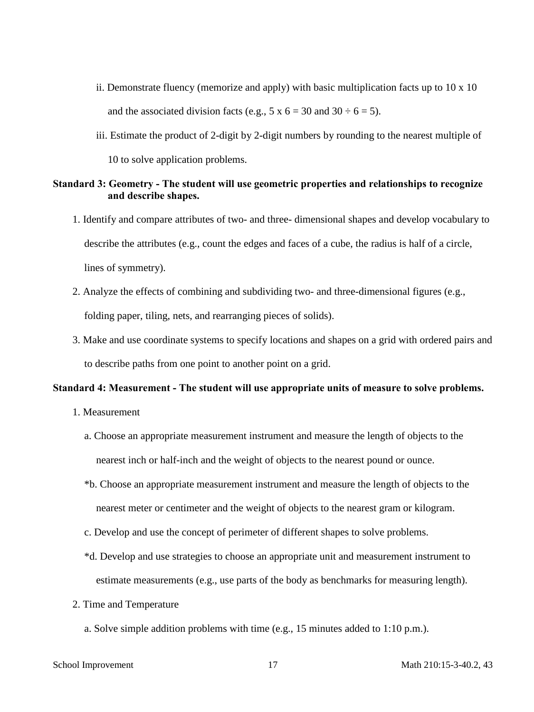- ii. Demonstrate fluency (memorize and apply) with basic multiplication facts up to  $10 \times 10$ and the associated division facts (e.g.,  $5 \times 6 = 30$  and  $30 \div 6 = 5$ ).
- iii. Estimate the product of 2-digit by 2-digit numbers by rounding to the nearest multiple of 10 to solve application problems.

## **Standard 3: Geometry - The student will use geometric properties and relationships to recognize and describe shapes.**

- 1. Identify and compare attributes of two- and three- dimensional shapes and develop vocabulary to describe the attributes (e.g., count the edges and faces of a cube, the radius is half of a circle, lines of symmetry).
- 2. Analyze the effects of combining and subdividing two- and three-dimensional figures (e.g., folding paper, tiling, nets, and rearranging pieces of solids).
- 3. Make and use coordinate systems to specify locations and shapes on a grid with ordered pairs and to describe paths from one point to another point on a grid.

#### **Standard 4: Measurement - The student will use appropriate units of measure to solve problems.**

- 1. Measurement
	- a. Choose an appropriate measurement instrument and measure the length of objects to the nearest inch or half-inch and the weight of objects to the nearest pound or ounce.
	- \*b. Choose an appropriate measurement instrument and measure the length of objects to the nearest meter or centimeter and the weight of objects to the nearest gram or kilogram.
	- c. Develop and use the concept of perimeter of different shapes to solve problems.
	- \*d. Develop and use strategies to choose an appropriate unit and measurement instrument to estimate measurements (e.g., use parts of the body as benchmarks for measuring length).
- 2. Time and Temperature
	- a. Solve simple addition problems with time (e.g., 15 minutes added to 1:10 p.m.).
-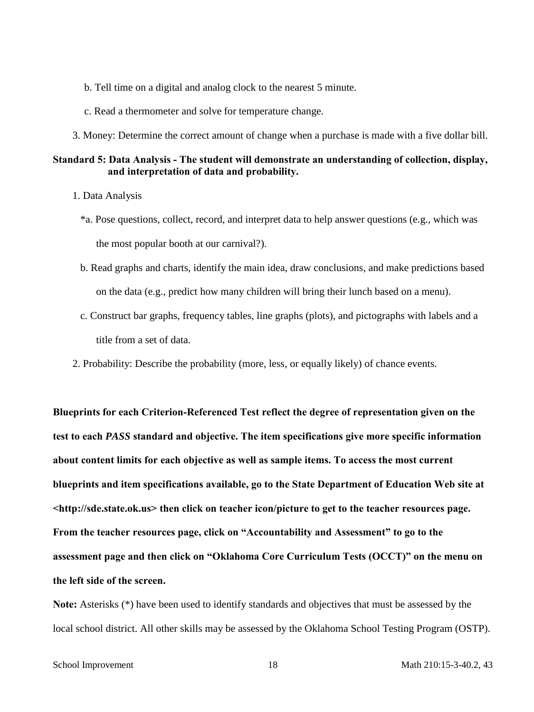- b. Tell time on a digital and analog clock to the nearest 5 minute.
- c. Read a thermometer and solve for temperature change.
- 3. Money: Determine the correct amount of change when a purchase is made with a five dollar bill.

## **Standard 5: Data Analysis - The student will demonstrate an understanding of collection, display, and interpretation of data and probability.**

- 1. Data Analysis
	- \*a. Pose questions, collect, record, and interpret data to help answer questions (e.g., which was the most popular booth at our carnival?).
	- b. Read graphs and charts, identify the main idea, draw conclusions, and make predictions based on the data (e.g., predict how many children will bring their lunch based on a menu).
	- c. Construct bar graphs, frequency tables, line graphs (plots), and pictographs with labels and a title from a set of data.
- 2. Probability: Describe the probability (more, less, or equally likely) of chance events.

**Blueprints for each Criterion-Referenced Test reflect the degree of representation given on the test to each** *PASS* **standard and objective. The item specifications give more specific information about content limits for each objective as well as sample items. To access the most current blueprints and item specifications available, go to the State Department of Education Web site at <http://sde.state.ok.us> then click on teacher icon/picture to get to the teacher resources page. From the teacher resources page, click on "Accountability and Assessment" to go to the assessment page and then click on "Oklahoma Core Curriculum Tests (OCCT)" on the menu on the left side of the screen.**

**Note:** Asterisks (\*) have been used to identify standards and objectives that must be assessed by the local school district. All other skills may be assessed by the Oklahoma School Testing Program (OSTP).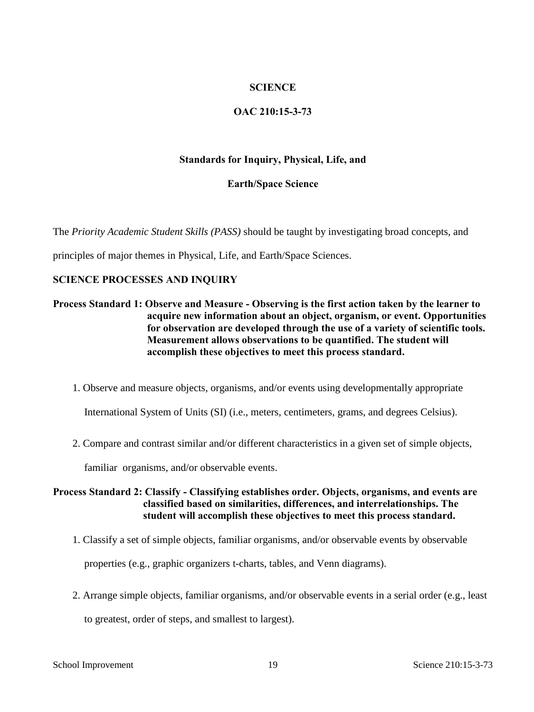# **SCIENCE**

# **OAC 210:15-3-73**

## **Standards for Inquiry, Physical, Life, and**

## **Earth/Space Science**

The *Priority Academic Student Skills (PASS)* should be taught by investigating broad concepts, and

principles of major themes in Physical, Life, and Earth/Space Sciences.

## **SCIENCE PROCESSES AND INQUIRY**

**Process Standard 1: Observe and Measure - Observing is the first action taken by the learner to acquire new information about an object, organism, or event. Opportunities for observation are developed through the use of a variety of scientific tools. Measurement allows observations to be quantified. The student will accomplish these objectives to meet this process standard.**

1. Observe and measure objects, organisms, and/or events using developmentally appropriate

International System of Units (SI) (i.e., meters, centimeters, grams, and degrees Celsius).

2. Compare and contrast similar and/or different characteristics in a given set of simple objects,

familiar organisms, and/or observable events.

## **Process Standard 2: Classify - Classifying establishes order. Objects, organisms, and events are classified based on similarities, differences, and interrelationships. The student will accomplish these objectives to meet this process standard.**

1. Classify a set of simple objects, familiar organisms, and/or observable events by observable

properties (e.g., graphic organizers t-charts, tables, and Venn diagrams).

2. Arrange simple objects, familiar organisms, and/or observable events in a serial order (e.g., least to greatest, order of steps, and smallest to largest).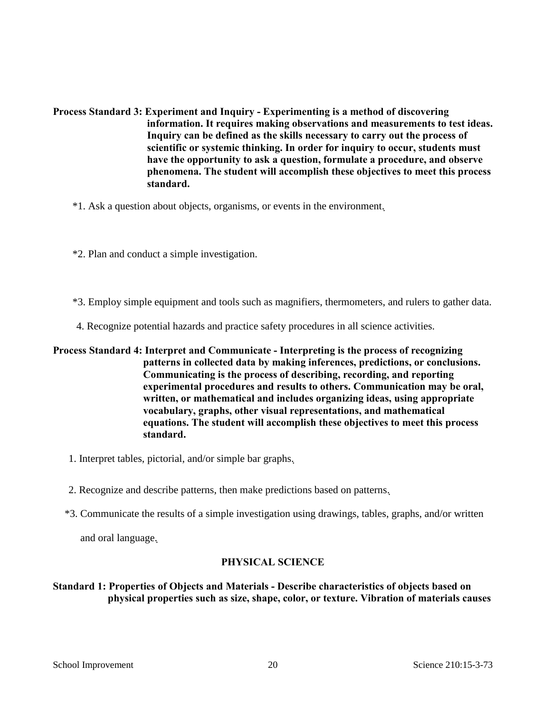**Process Standard 3: Experiment and Inquiry - Experimenting is a method of discovering information. It requires making observations and measurements to test ideas. Inquiry can be defined as the skills necessary to carry out the process of scientific or systemic thinking. In order for inquiry to occur, students must have the opportunity to ask a question, formulate a procedure, and observe phenomena. The student will accomplish these objectives to meet this process standard.**

\*1. Ask a question about objects, organisms, or events in the environment.

\*2. Plan and conduct a simple investigation.

\*3. Employ simple equipment and tools such as magnifiers, thermometers, and rulers to gather data.

4. Recognize potential hazards and practice safety procedures in all science activities.

# **Process Standard 4: Interpret and Communicate - Interpreting is the process of recognizing patterns in collected data by making inferences, predictions, or conclusions. Communicating is the process of describing, recording, and reporting experimental procedures and results to others. Communication may be oral, written, or mathematical and includes organizing ideas, using appropriate vocabulary, graphs, other visual representations, and mathematical equations. The student will accomplish these objectives to meet this process standard.**

1. Interpret tables, pictorial, and/or simple bar graphs.

- 2. Recognize and describe patterns, then make predictions based on patterns.
- \*3. Communicate the results of a simple investigation using drawings, tables, graphs, and/or written

and oral language.

## **PHYSICAL SCIENCE**

## **Standard 1: Properties of Objects and Materials - Describe characteristics of objects based on physical properties such as size, shape, color, or texture. Vibration of materials causes**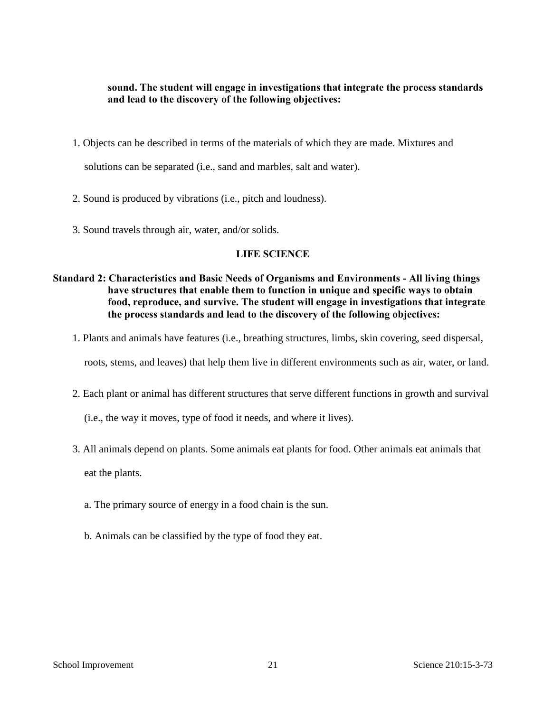# **sound. The student will engage in investigations that integrate the process standards and lead to the discovery of the following objectives:**

1. Objects can be described in terms of the materials of which they are made. Mixtures and

solutions can be separated (i.e., sand and marbles, salt and water).

- 2. Sound is produced by vibrations (i.e., pitch and loudness).
- 3. Sound travels through air, water, and/or solids.

## **LIFE SCIENCE**

# **Standard 2: Characteristics and Basic Needs of Organisms and Environments - All living things have structures that enable them to function in unique and specific ways to obtain food, reproduce, and survive. The student will engage in investigations that integrate the process standards and lead to the discovery of the following objectives:**

1. Plants and animals have features (i.e., breathing structures, limbs, skin covering, seed dispersal,

roots, stems, and leaves) that help them live in different environments such as air, water, or land.

2. Each plant or animal has different structures that serve different functions in growth and survival

(i.e., the way it moves, type of food it needs, and where it lives).

- 3. All animals depend on plants. Some animals eat plants for food. Other animals eat animals that eat the plants.
	- a. The primary source of energy in a food chain is the sun.
	- b. Animals can be classified by the type of food they eat.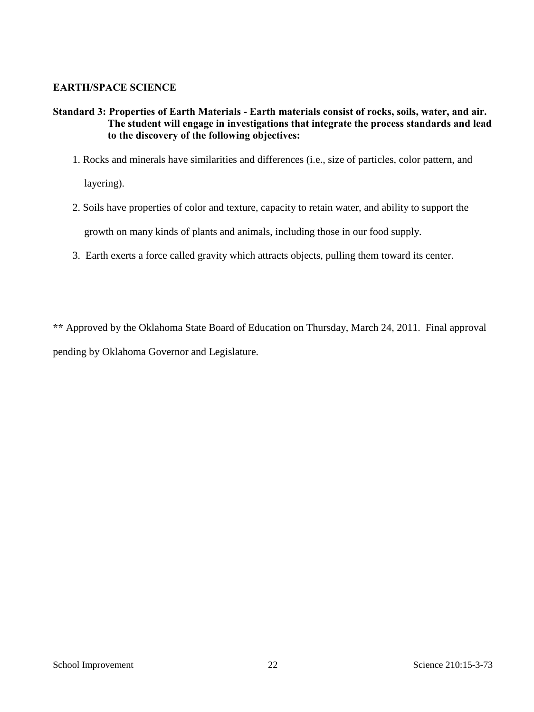# **EARTH/SPACE SCIENCE**

# **Standard 3: Properties of Earth Materials - Earth materials consist of rocks, soils, water, and air. The student will engage in investigations that integrate the process standards and lead to the discovery of the following objectives:**

- 1. Rocks and minerals have similarities and differences (i.e., size of particles, color pattern, and layering).
- 2. Soils have properties of color and texture, capacity to retain water, and ability to support the growth on many kinds of plants and animals, including those in our food supply.
- 3. Earth exerts a force called gravity which attracts objects, pulling them toward its center.

**\*\*** Approved by the Oklahoma State Board of Education on Thursday, March 24, 2011. Final approval pending by Oklahoma Governor and Legislature.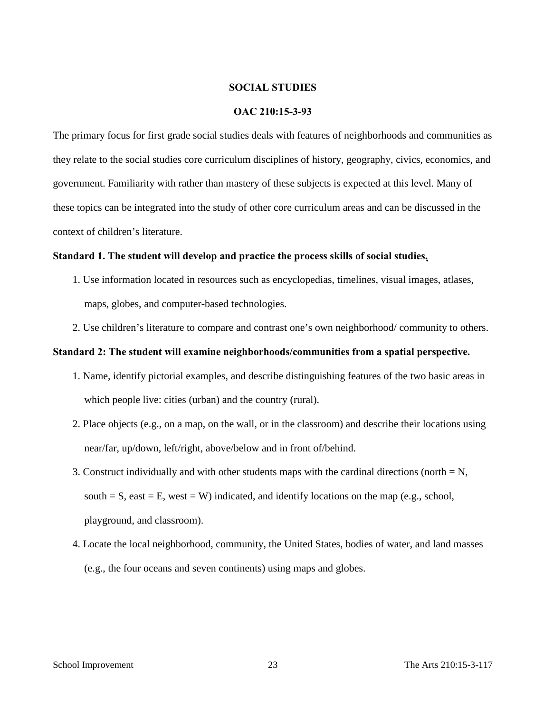#### **SOCIAL STUDIES**

#### **OAC 210:15-3-93**

The primary focus for first grade social studies deals with features of neighborhoods and communities as they relate to the social studies core curriculum disciplines of history, geography, civics, economics, and government. Familiarity with rather than mastery of these subjects is expected at this level. Many of these topics can be integrated into the study of other core curriculum areas and can be discussed in the context of children's literature.

#### **Standard 1. The student will develop and practice the process skills of social studies.**

- 1. Use information located in resources such as encyclopedias, timelines, visual images, atlases, maps, globes, and computer-based technologies.
- 2. Use children's literature to compare and contrast one's own neighborhood/ community to others.

#### **Standard 2: The student will examine neighborhoods/communities from a spatial perspective.**

- 1. Name, identify pictorial examples, and describe distinguishing features of the two basic areas in which people live: cities (urban) and the country (rural).
- 2. Place objects (e.g., on a map, on the wall, or in the classroom) and describe their locations using near/far, up/down, left/right, above/below and in front of/behind.
- 3. Construct individually and with other students maps with the cardinal directions (north  $= N$ , south  $= S$ , east  $= E$ , west  $= W$ ) indicated, and identify locations on the map (e.g., school, playground, and classroom).
- 4. Locate the local neighborhood, community, the United States, bodies of water, and land masses (e.g., the four oceans and seven continents) using maps and globes.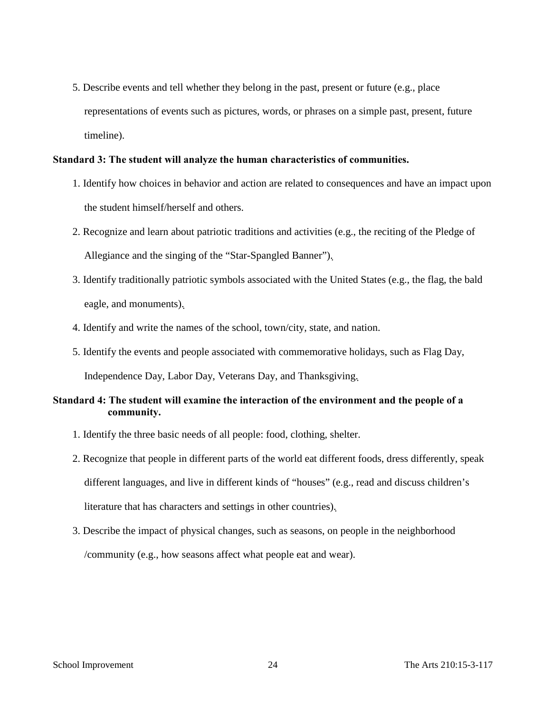5. Describe events and tell whether they belong in the past, present or future (e.g., place representations of events such as pictures, words, or phrases on a simple past, present, future timeline).

#### **Standard 3: The student will analyze the human characteristics of communities.**

- 1. Identify how choices in behavior and action are related to consequences and have an impact upon the student himself/herself and others.
- 2. Recognize and learn about patriotic traditions and activities (e.g., the reciting of the Pledge of Allegiance and the singing of the "Star-Spangled Banner").
- 3. Identify traditionally patriotic symbols associated with the United States (e.g., the flag, the bald eagle, and monuments).
- 4. Identify and write the names of the school, town/city, state, and nation.
- 5. Identify the events and people associated with commemorative holidays, such as Flag Day,

Independence Day, Labor Day, Veterans Day, and Thanksgiving.

# **Standard 4: The student will examine the interaction of the environment and the people of a community.**

- 1. Identify the three basic needs of all people: food, clothing, shelter.
- 2. Recognize that people in different parts of the world eat different foods, dress differently, speak different languages, and live in different kinds of "houses" (e.g., read and discuss children's literature that has characters and settings in other countries).
- 3. Describe the impact of physical changes, such as seasons, on people in the neighborhood /community (e.g., how seasons affect what people eat and wear).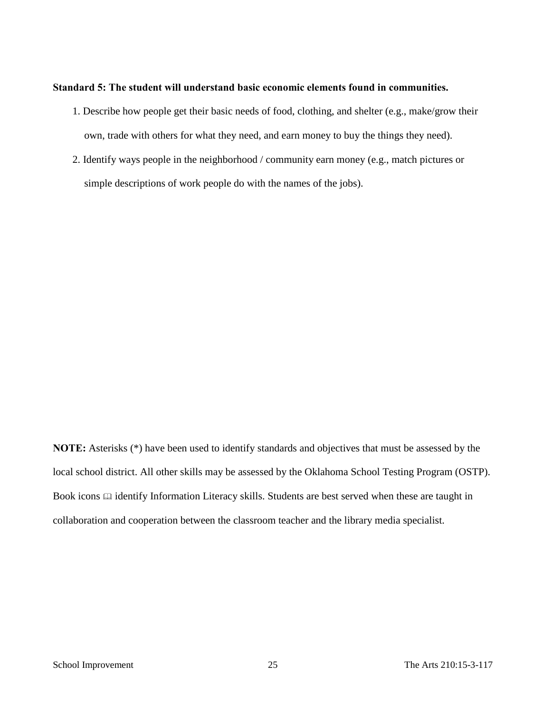## **Standard 5: The student will understand basic economic elements found in communities.**

- 1. Describe how people get their basic needs of food, clothing, and shelter (e.g., make/grow their own, trade with others for what they need, and earn money to buy the things they need).
- 2. Identify ways people in the neighborhood / community earn money (e.g., match pictures or simple descriptions of work people do with the names of the jobs).

**NOTE:** Asterisks (\*) have been used to identify standards and objectives that must be assessed by the local school district. All other skills may be assessed by the Oklahoma School Testing Program (OSTP). Book icons  $\Box$  identify Information Literacy skills. Students are best served when these are taught in collaboration and cooperation between the classroom teacher and the library media specialist.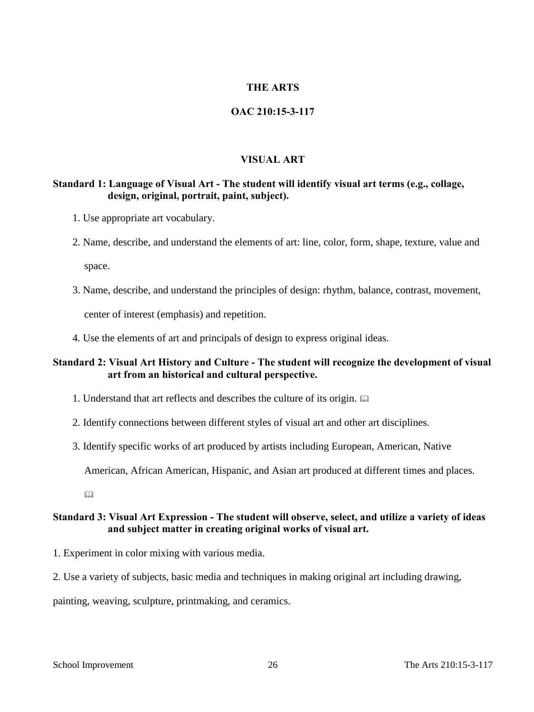#### **THE ARTS**

## **OAC 210:15-3-117**

## **VISUAL ART**

# **Standard 1: Language of Visual Art - The student will identify visual art terms (e.g., collage, design, original, portrait, paint, subject).**

- 1. Use appropriate art vocabulary.
- 2. Name, describe, and understand the elements of art: line, color, form, shape, texture, value and

space.

3. Name, describe, and understand the principles of design: rhythm, balance, contrast, movement,

center of interest (emphasis) and repetition.

4. Use the elements of art and principals of design to express original ideas.

# **Standard 2: Visual Art History and Culture - The student will recognize the development of visual art from an historical and cultural perspective.**

- 1. Understand that art reflects and describes the culture of its origin.
- 2. Identify connections between different styles of visual art and other art disciplines.
- 3. Identify specific works of art produced by artists including European, American, Native

American, African American, Hispanic, and Asian art produced at different times and places.

 $\Box$ 

## **Standard 3: Visual Art Expression - The student will observe, select, and utilize a variety of ideas and subject matter in creating original works of visual art.**

- 1. Experiment in color mixing with various media.
- 2. Use a variety of subjects, basic media and techniques in making original art including drawing,

painting, weaving, sculpture, printmaking, and ceramics.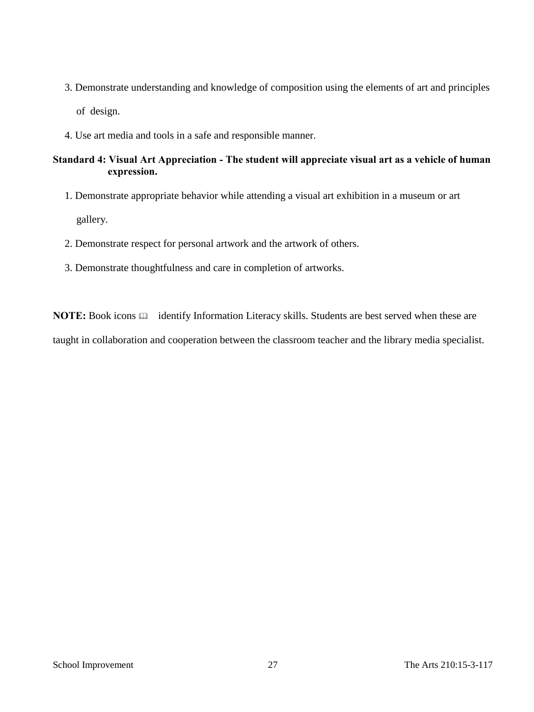- 3. Demonstrate understanding and knowledge of composition using the elements of art and principles of design.
- 4. Use art media and tools in a safe and responsible manner.

# **Standard 4: Visual Art Appreciation - The student will appreciate visual art as a vehicle of human expression.**

- 1. Demonstrate appropriate behavior while attending a visual art exhibition in a museum or art gallery.
- 2. Demonstrate respect for personal artwork and the artwork of others.
- 3. Demonstrate thoughtfulness and care in completion of artworks.

**NOTE:** Book icons **a** identify Information Literacy skills. Students are best served when these are taught in collaboration and cooperation between the classroom teacher and the library media specialist.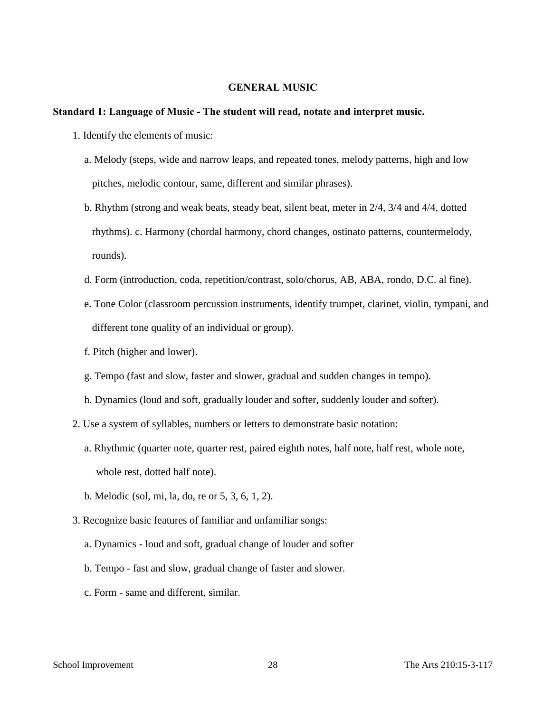#### **GENERAL MUSIC**

#### **Standard 1: Language of Music - The student will read, notate and interpret music.**

- 1. Identify the elements of music:
	- a. Melody (steps, wide and narrow leaps, and repeated tones, melody patterns, high and low pitches, melodic contour, same, different and similar phrases).
	- b. Rhythm (strong and weak beats, steady beat, silent beat, meter in 2/4, 3/4 and 4/4, dotted rhythms). c. Harmony (chordal harmony, chord changes, ostinato patterns, countermelody, rounds).
	- d. Form (introduction, coda, repetition/contrast, solo/chorus, AB, ABA, rondo, D.C. al fine).
	- e. Tone Color (classroom percussion instruments, identify trumpet, clarinet, violin, tympani, and different tone quality of an individual or group).
	- f. Pitch (higher and lower).
	- g. Tempo (fast and slow, faster and slower, gradual and sudden changes in tempo).
	- h. Dynamics (loud and soft, gradually louder and softer, suddenly louder and softer).
- 2. Use a system of syllables, numbers or letters to demonstrate basic notation:
	- a. Rhythmic (quarter note, quarter rest, paired eighth notes, half note, half rest, whole note, whole rest, dotted half note).
	- b. Melodic (sol, mi, la, do, re or 5, 3, 6, 1, 2).
- 3. Recognize basic features of familiar and unfamiliar songs:
	- a. Dynamics loud and soft, gradual change of louder and softer
	- b. Tempo fast and slow, gradual change of faster and slower.
	- c. Form same and different, similar.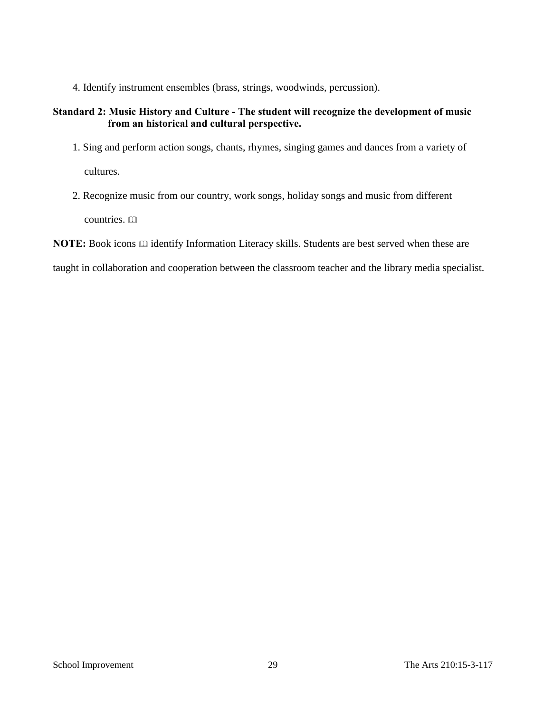4. Identify instrument ensembles (brass, strings, woodwinds, percussion).

# **Standard 2: Music History and Culture - The student will recognize the development of music from an historical and cultural perspective.**

- 1. Sing and perform action songs, chants, rhymes, singing games and dances from a variety of cultures.
- 2. Recognize music from our country, work songs, holiday songs and music from different countries.

# **NOTE:** Book icons  $\Box$  identify Information Literacy skills. Students are best served when these are

taught in collaboration and cooperation between the classroom teacher and the library media specialist.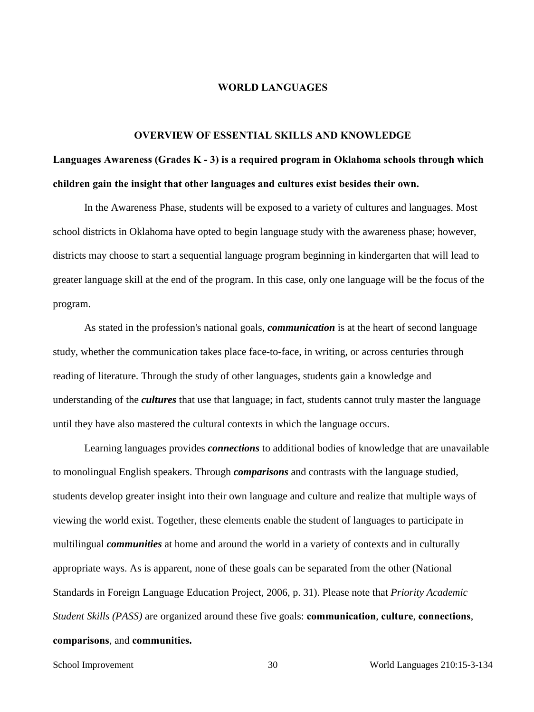#### **WORLD LANGUAGES**

#### **OVERVIEW OF ESSENTIAL SKILLS AND KNOWLEDGE**

# **Languages Awareness (Grades K - 3) is a required program in Oklahoma schools through which children gain the insight that other languages and cultures exist besides their own.**

In the Awareness Phase, students will be exposed to a variety of cultures and languages. Most school districts in Oklahoma have opted to begin language study with the awareness phase; however, districts may choose to start a sequential language program beginning in kindergarten that will lead to greater language skill at the end of the program. In this case, only one language will be the focus of the program.

As stated in the profession's national goals, *communication* is at the heart of second language study, whether the communication takes place face-to-face, in writing, or across centuries through reading of literature. Through the study of other languages, students gain a knowledge and understanding of the *cultures* that use that language; in fact, students cannot truly master the language until they have also mastered the cultural contexts in which the language occurs.

Learning languages provides *connections* to additional bodies of knowledge that are unavailable to monolingual English speakers. Through *comparisons* and contrasts with the language studied, students develop greater insight into their own language and culture and realize that multiple ways of viewing the world exist. Together, these elements enable the student of languages to participate in multilingual *communities* at home and around the world in a variety of contexts and in culturally appropriate ways. As is apparent, none of these goals can be separated from the other (National Standards in Foreign Language Education Project, 2006, p. 31). Please note that *Priority Academic Student Skills (PASS)* are organized around these five goals: **communication**, **culture**, **connections**,

# **comparisons**, and **communities.**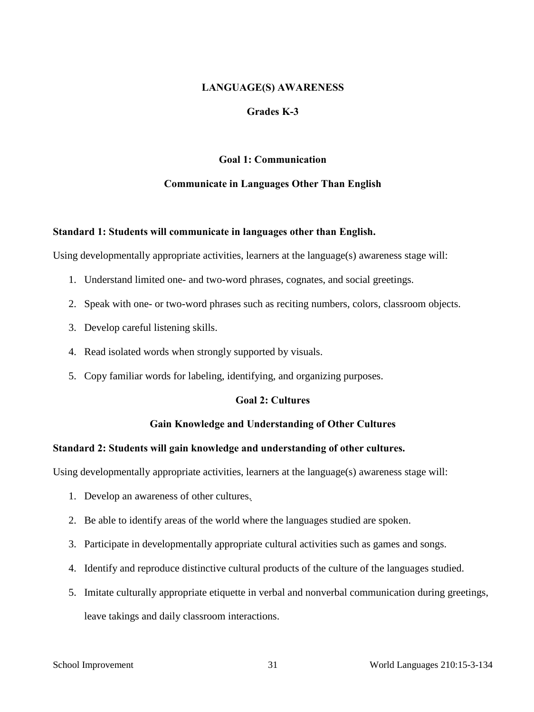#### **LANGUAGE(S) AWARENESS**

#### **Grades K-3**

#### **Goal 1: Communication**

#### **Communicate in Languages Other Than English**

#### **Standard 1: Students will communicate in languages other than English.**

Using developmentally appropriate activities, learners at the language(s) awareness stage will:

- 1. Understand limited one- and two-word phrases, cognates, and social greetings.
- 2. Speak with one- or two-word phrases such as reciting numbers, colors, classroom objects.
- 3. Develop careful listening skills.
- 4. Read isolated words when strongly supported by visuals.
- 5. Copy familiar words for labeling, identifying, and organizing purposes.

## **Goal 2: Cultures**

#### **Gain Knowledge and Understanding of Other Cultures**

#### **Standard 2: Students will gain knowledge and understanding of other cultures.**

Using developmentally appropriate activities, learners at the language(s) awareness stage will:

- 1. Develop an awareness of other cultures.
- 2. Be able to identify areas of the world where the languages studied are spoken.
- 3. Participate in developmentally appropriate cultural activities such as games and songs.
- 4. Identify and reproduce distinctive cultural products of the culture of the languages studied.
- 5. Imitate culturally appropriate etiquette in verbal and nonverbal communication during greetings, leave takings and daily classroom interactions.